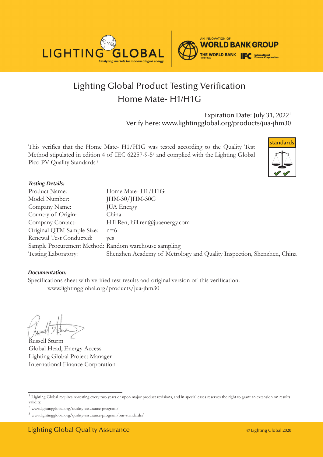



# Lighting Global Product Testing Verification Home Mate- H1/H1G

Expiration Date: July 31, 20221 Verify here: www.lightingglobal.org/products/jua-jhm30

This verifies that the Home Mate- H1/H1G was tested according to the Quality Test Method stipulated in edition 4 of IEC 62257-9-52 and complied with the Lighting Global Pico PV Quality Standards.<sup>3</sup>



#### *Testing Details:*

| Product Name:                                        | Home Mate-H1/H1G                                                      |
|------------------------------------------------------|-----------------------------------------------------------------------|
| Model Number:                                        | JHM-30/JHM-30G                                                        |
| Company Name:                                        | <b>JUA</b> Energy                                                     |
| Country of Origin:                                   | China                                                                 |
| Company Contact:                                     | Hill Ren, hill.ren@juaenergy.com                                      |
| Original QTM Sample Size:                            | $n=6$                                                                 |
| Renewal Test Conducted:                              | ves                                                                   |
| Sample Procurement Method: Random warehouse sampling |                                                                       |
| Testing Laboratory:                                  | Shenzhen Academy of Metrology and Quality Inspection, Shenzhen, China |

#### *Documentation:*

Specifications sheet with verified test results and original version of this verification: www.lightingglobal.org/products/jua-jhm30

Russell Sturm Global Head, Energy Access Lighting Global Project Manager International Finance Corporation

<sup>&</sup>lt;sup>1</sup> Lighting Global requires re-testing every two years or upon major product revisions, and in special cases reserves the right to grant an extension on results validity.

 $^2$ www.lightingglobal.org/quality-assurance-program/  $\,$ 

<sup>3</sup> www.lightingglobal.org/quality-assurance-program/our-standards/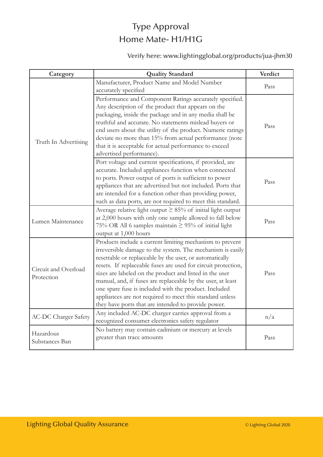## Type Approval Home Mate- H1/H1G

### Verify here: www.lightingglobal.org/products/jua-jhm30

| Category                           | <b>Quality Standard</b>                                          | Verdict |
|------------------------------------|------------------------------------------------------------------|---------|
|                                    | Manufacturer, Product Name and Model Number                      | Pass    |
|                                    | accurately specified                                             |         |
|                                    | Performance and Component Ratings accurately specified.          |         |
|                                    | Any description of the product that appears on the               |         |
|                                    | packaging, inside the package and in any media shall be          |         |
|                                    | truthful and accurate. No statements mislead buyers or           | Pass    |
|                                    | end users about the utility of the product. Numeric ratings      |         |
| Truth In Advertising               | deviate no more than 15% from actual performance (note           |         |
|                                    | that it is acceptable for actual performance to exceed           |         |
|                                    | advertised performance).                                         |         |
|                                    | Port voltage and current specifications, if provided, are        |         |
|                                    | accurate. Included appliances function when connected            |         |
|                                    | to ports. Power output of ports is sufficient to power           | Pass    |
|                                    | appliances that are advertised but not included. Ports that      |         |
|                                    | are intended for a function other than providing power,          |         |
|                                    | such as data ports, are not required to meet this standard.      |         |
|                                    | Average relative light output $\geq$ 85% of initial light output |         |
| Lumen Maintenance                  | at 2,000 hours with only one sample allowed to fall below        | Pass    |
|                                    | 75% OR All 6 samples maintain $\geq$ 95% of initial light        |         |
|                                    | output at 1,000 hours                                            |         |
| Circuit and Overload<br>Protection | Products include a current limiting mechanism to prevent         |         |
|                                    | irreversible damage to the system. The mechanism is easily       |         |
|                                    | resettable or replaceable by the user, or automatically          |         |
|                                    | resets. If replaceable fuses are used for circuit protection,    |         |
|                                    | sizes are labeled on the product and listed in the user          | Pass    |
|                                    | manual, and, if fuses are replaceable by the user, at least      |         |
|                                    | one spare fuse is included with the product. Included            |         |
|                                    | appliances are not required to meet this standard unless         |         |
|                                    | they have ports that are intended to provide power.              |         |
| <b>AC-DC Charger Safety</b>        | Any included AC-DC charger carries approval from a               | n/a     |
|                                    | recognized consumer electronics safety regulator                 |         |
| Hazardous<br>Substances Ban        | No battery may contain cadmium or mercury at levels              |         |
|                                    | greater than trace amounts                                       | Pass    |
|                                    |                                                                  |         |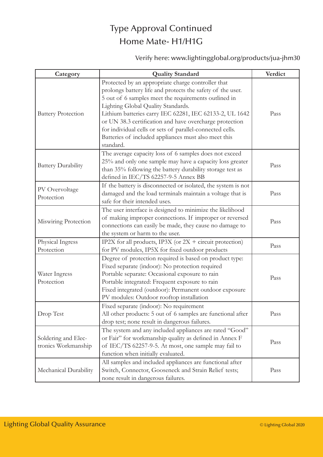### Type Approval Continued Home Mate- H1/H1G

### Verify here: www.lightingglobal.org/products/jua-jhm30

| Category                                   | <b>Quality Standard</b>                                                                                                                                                                                                                                                                                                                                                                                                                                                | Verdict |
|--------------------------------------------|------------------------------------------------------------------------------------------------------------------------------------------------------------------------------------------------------------------------------------------------------------------------------------------------------------------------------------------------------------------------------------------------------------------------------------------------------------------------|---------|
| <b>Battery Protection</b>                  | Protected by an appropriate charge controller that<br>prolongs battery life and protects the safety of the user.<br>5 out of 6 samples meet the requirements outlined in<br>Lighting Global Quality Standards.<br>Lithium batteries carry IEC 62281, IEC 62133-2, UL 1642<br>or UN 38.3 certification and have overcharge protection<br>for individual cells or sets of parallel-connected cells.<br>Batteries of included appliances must also meet this<br>standard. | Pass    |
| <b>Battery Durability</b>                  | The average capacity loss of 6 samples does not exceed<br>25% and only one sample may have a capacity loss greater<br>than 35% following the battery durability storage test as<br>defined in IEC/TS 62257-9-5 Annex BB                                                                                                                                                                                                                                                | Pass    |
| PV Overvoltage<br>Protection               | If the battery is disconnected or isolated, the system is not<br>damaged and the load terminals maintain a voltage that is<br>safe for their intended uses.                                                                                                                                                                                                                                                                                                            | Pass    |
| Miswiring Protection                       | The user interface is designed to minimize the likelihood<br>of making improper connections. If improper or reversed<br>connections can easily be made, they cause no damage to<br>the system or harm to the user.                                                                                                                                                                                                                                                     | Pass    |
| Physical Ingress<br>Protection             | IP2X for all products, IP3X (or $2X +$ circuit protection)<br>for PV modules, IP5X for fixed outdoor products                                                                                                                                                                                                                                                                                                                                                          | Pass    |
| Water Ingress<br>Protection                | Degree of protection required is based on product type:<br>Fixed separate (indoor): No protection required<br>Portable separate: Occasional exposure to rain<br>Portable integrated: Frequent exposure to rain<br>Fixed integrated (outdoor): Permanent outdoor exposure<br>PV modules: Outdoor rooftop installation                                                                                                                                                   | Pass    |
| Drop Test                                  | Fixed separate (indoor): No requirement<br>All other products: 5 out of 6 samples are functional after<br>drop test; none result in dangerous failures.                                                                                                                                                                                                                                                                                                                | Pass    |
| Soldering and Elec-<br>tronics Workmanship | The system and any included appliances are rated "Good"<br>or Fair" for workmanship quality as defined in Annex F<br>of IEC/TS 62257-9-5. At most, one sample may fail to<br>function when initially evaluated.                                                                                                                                                                                                                                                        | Pass    |
| Mechanical Durability                      | All samples and included appliances are functional after<br>Switch, Connector, Gooseneck and Strain Relief tests;<br>none result in dangerous failures.                                                                                                                                                                                                                                                                                                                | Pass    |